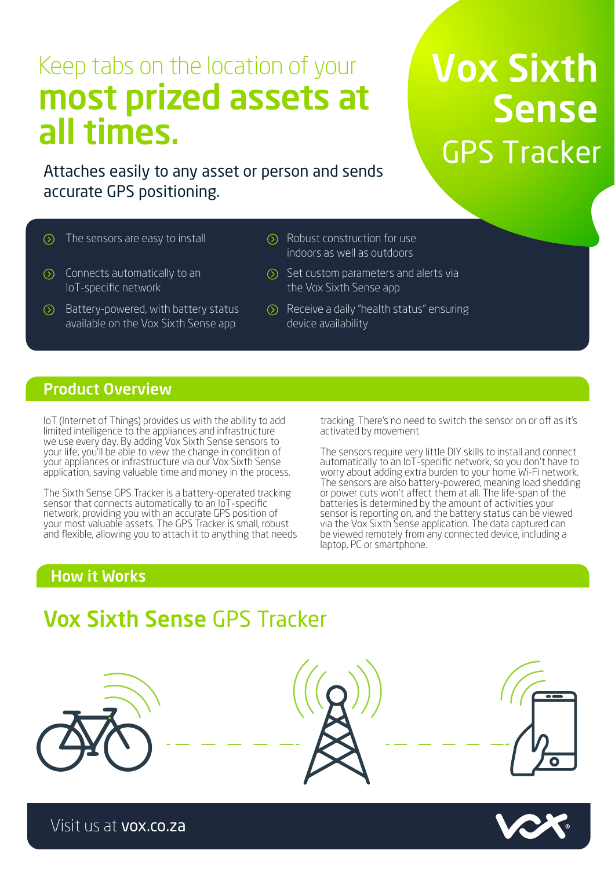# Keep tabs on the location of your most prized assets at all times.

Attaches easily to any asset or person and sends accurate GPS positioning.

## $\circledcirc$

- $\circled{)}$  Connects automatically to an IoT-specific network
- $\odot$  Battery-powered, with battery status available on the Vox Sixth Sense app
- The sensors are easy to install  $\oslash$  Robust construction for use indoors as well as outdoors
	- $\circ$  Set custom parameters and alerts via the Vox Sixth Sense app
	- Receive a daily "health status" ensuring device availability

### Product Overview

IoT (Internet of Things) provides us with the ability to add limited intelligence to the appliances and infrastructure we use every day. By adding Vox Sixth Sense sensors to your life, you'll be able to view the change in condition of your appliances or infrastructure via our Vox Sixth Sense application, saving valuable time and money in the process.

The Sixth Sense GPS Tracker is a battery-operated tracking sensor that connects automatically to an IoT-specific network, providing you with an accurate GPS position of your most valuable assets. The GPS Tracker is small, robust and flexible, allowing you to attach it to anything that needs tracking. There's no need to switch the sensor on or off as it's activated by movement.

The sensors require very little DIY skills to install and connect automatically to an IoT-specific network, so you don't have to worry about adding extra burden to your home Wi-Fi network. The sensors are also battery-powered, meaning load shedding or power cuts won't affect them at all. The life-span of the batteries is determined by the amount of activities your sensor is reporting on, and the battery status can be viewed via the Vox Sixth Sense application. The data captured can be viewed remotely from any connected device, including a laptop, PC or smartphone.

## How it Works

## Vox Sixth Sense GPS Tracker









Vox Sixth Sense GPS Tracker

Visit us at vox.co.za